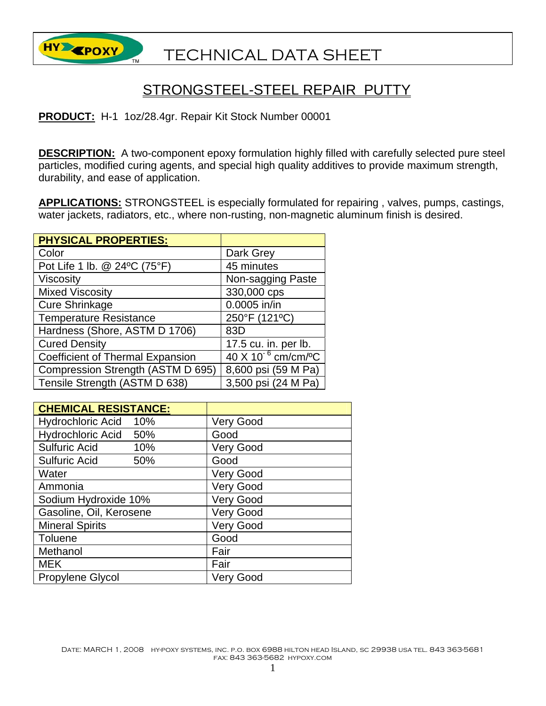

## STRONGSTEEL-STEEL REPAIR PUTTY

**PRODUCT:** H-1 1oz/28.4gr. Repair Kit Stock Number 00001

**DESCRIPTION:** A two-component epoxy formulation highly filled with carefully selected pure steel particles, modified curing agents, and special high quality additives to provide maximum strength, durability, and ease of application.

**APPLICATIONS:** STRONGSTEEL is especially formulated for repairing , valves, pumps, castings, water jackets, radiators, etc., where non-rusting, non-magnetic aluminum finish is desired.

| <b>PHYSICAL PROPERTIES:</b>             |                                           |
|-----------------------------------------|-------------------------------------------|
| Color                                   | Dark Grey                                 |
| Pot Life 1 lb. @ 24°C (75°F)            | 45 minutes                                |
| <b>Viscosity</b>                        | Non-sagging Paste                         |
| <b>Mixed Viscosity</b>                  | 330,000 cps                               |
| <b>Cure Shrinkage</b>                   | 0.0005 in/in                              |
| <b>Temperature Resistance</b>           | 250°F (121°C)                             |
| Hardness (Shore, ASTM D 1706)           | 83D                                       |
| <b>Cured Density</b>                    | 17.5 cu. in. per lb.                      |
| <b>Coefficient of Thermal Expansion</b> | $40 \times 10^{-6}$ cm/cm/ <sup>o</sup> C |
| Compression Strength (ASTM D 695)       | 8,600 psi (59 M Pa)                       |
| Tensile Strength (ASTM D 638)           | 3,500 psi (24 M Pa)                       |

| <b>CHEMICAL RESISTANCE:</b> |                  |
|-----------------------------|------------------|
| Hydrochloric Acid 10%       | <b>Very Good</b> |
| Hydrochloric Acid 50%       | Good             |
| <b>Sulfuric Acid</b><br>10% | <b>Very Good</b> |
| <b>Sulfuric Acid</b><br>50% | Good             |
| Water                       | <b>Very Good</b> |
| Ammonia                     | <b>Very Good</b> |
| Sodium Hydroxide 10%        | <b>Very Good</b> |
| Gasoline, Oil, Kerosene     | <b>Very Good</b> |
| <b>Mineral Spirits</b>      | <b>Very Good</b> |
| Toluene                     | Good             |
| Methanol                    | Fair             |
| <b>MEK</b>                  | Fair             |
| Propylene Glycol            | <b>Very Good</b> |

DATE: MARCH 1, 2008 HY-POXY SYSTEMS, INC. P.O. BOX 6988 HILTON HEAD ISLAND, SC 29938 USA TEL. 843 363-5681 fax: 843 363-5682 hypoxy.com